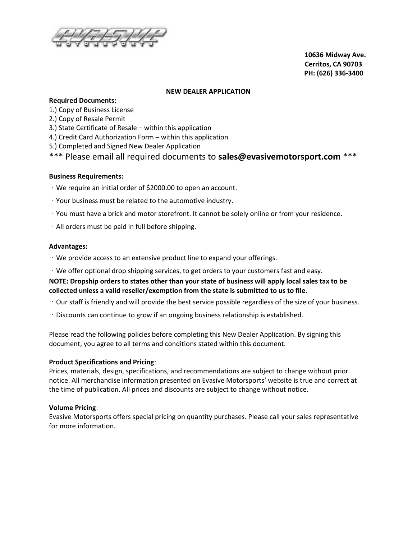

 10636 Midway Ave. Cerritos, CA 90703 PH: (626) 336‐3400

#### NEW DEALER APPLICATION

#### Required Documents:

- 1.) Copy of Business License
- 2.) Copy of Resale Permit
- 3.) State Certificate of Resale within this application
- 4.) Credit Card Authorization Form within this application
- 5.) Completed and Signed New Dealer Application

# \*\*\* Please email all required documents to sales@evasivemotorsport.com \*\*\*

### Business Requirements:

- We require an initial order of \$2000.00 to open an account.
- Your business must be related to the automotive industry.
- You must have a brick and motor storefront. It cannot be solely online or from your residence.
- $\cdot$  All orders must be paid in full before shipping.

#### Advantages:

- We provide access to an extensive product line to expand your offerings.
- We offer optional drop shipping services, to get orders to your customers fast and easy.

NOTE: Dropship orders to states other than your state of business will apply local sales tax to be collected unless a valid reseller/exemption from the state is submitted to us to file.

- Our staff is friendly and will provide the best service possible regardless of the size of your business.
- Discounts can continue to grow if an ongoing business relationship is established.

Please read the following policies before completing this New Dealer Application. By signing this document, you agree to all terms and conditions stated within this document.

### Product Specifications and Pricing:

Prices, materials, design, specifications, and recommendations are subject to change without prior notice. All merchandise information presented on Evasive Motorsports' website is true and correct at the time of publication. All prices and discounts are subject to change without notice.

### Volume Pricing:

Evasive Motorsports offers special pricing on quantity purchases. Please call your sales representative for more information.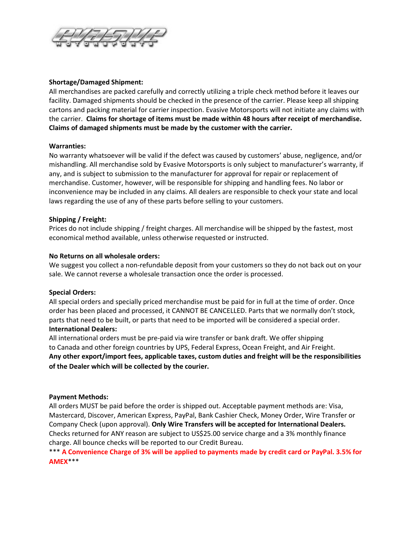

## Shortage/Damaged Shipment:

All merchandises are packed carefully and correctly utilizing a triple check method before it leaves our facility. Damaged shipments should be checked in the presence of the carrier. Please keep all shipping cartons and packing material for carrier inspection. Evasive Motorsports will not initiate any claims with the carrier. Claims for shortage of items must be made within 48 hours after receipt of merchandise. Claims of damaged shipments must be made by the customer with the carrier.

## Warranties:

No warranty whatsoever will be valid if the defect was caused by customers' abuse, negligence, and/or mishandling. All merchandise sold by Evasive Motorsports is only subject to manufacturer's warranty, if any, and is subject to submission to the manufacturer for approval for repair or replacement of merchandise. Customer, however, will be responsible for shipping and handling fees. No labor or inconvenience may be included in any claims. All dealers are responsible to check your state and local laws regarding the use of any of these parts before selling to your customers.

## Shipping / Freight:

Prices do not include shipping / freight charges. All merchandise will be shipped by the fastest, most economical method available, unless otherwise requested or instructed.

## No Returns on all wholesale orders:

We suggest you collect a non-refundable deposit from your customers so they do not back out on your sale. We cannot reverse a wholesale transaction once the order is processed.

### Special Orders:

All special orders and specially priced merchandise must be paid for in full at the time of order. Once order has been placed and processed, it CANNOT BE CANCELLED. Parts that we normally don't stock, parts that need to be built, or parts that need to be imported will be considered a special order. International Dealers:

All international orders must be pre-paid via wire transfer or bank draft. We offer shipping to Canada and other foreign countries by UPS, Federal Express, Ocean Freight, and Air Freight. Any other export/import fees, applicable taxes, custom duties and freight will be the responsibilities of the Dealer which will be collected by the courier.

### Payment Methods:

All orders MUST be paid before the order is shipped out. Acceptable payment methods are: Visa, Mastercard, Discover, American Express, PayPal, Bank Cashier Check, Money Order, Wire Transfer or Company Check (upon approval). Only Wire Transfers will be accepted for International Dealers. Checks returned for ANY reason are subject to US\$25.00 service charge and a 3% monthly finance charge. All bounce checks will be reported to our Credit Bureau.

\*\*\* A Convenience Charge of 3% will be applied to payments made by credit card or PayPal. 3.5% for AMEX\*\*\*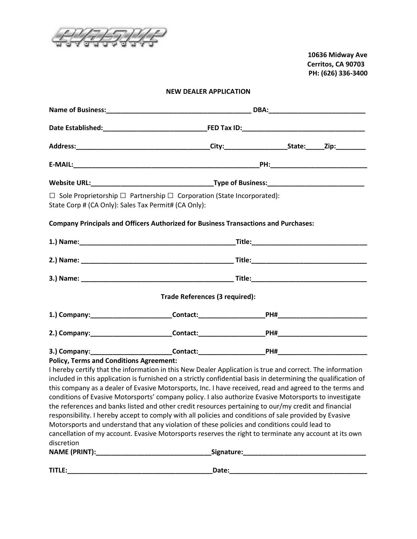

 10636 Midway Ave Cerritos, CA 90703 PH: (626) 336‐3400

# NEW DEALER APPLICATION

| State Corp # (CA Only): Sales Tax Permit# (CA Only):         | $\Box$ Sole Proprietorship $\Box$ Partnership $\Box$ Corporation (State Incorporated):                                                                                                                                                                                                                                                                                                                                                                                                                                                                                                                                                                                                                                                                                                                                                                                       |  |  |                                                                                                                       |
|--------------------------------------------------------------|------------------------------------------------------------------------------------------------------------------------------------------------------------------------------------------------------------------------------------------------------------------------------------------------------------------------------------------------------------------------------------------------------------------------------------------------------------------------------------------------------------------------------------------------------------------------------------------------------------------------------------------------------------------------------------------------------------------------------------------------------------------------------------------------------------------------------------------------------------------------------|--|--|-----------------------------------------------------------------------------------------------------------------------|
|                                                              | <b>Company Principals and Officers Authorized for Business Transactions and Purchases:</b>                                                                                                                                                                                                                                                                                                                                                                                                                                                                                                                                                                                                                                                                                                                                                                                   |  |  |                                                                                                                       |
|                                                              |                                                                                                                                                                                                                                                                                                                                                                                                                                                                                                                                                                                                                                                                                                                                                                                                                                                                              |  |  |                                                                                                                       |
|                                                              |                                                                                                                                                                                                                                                                                                                                                                                                                                                                                                                                                                                                                                                                                                                                                                                                                                                                              |  |  |                                                                                                                       |
|                                                              |                                                                                                                                                                                                                                                                                                                                                                                                                                                                                                                                                                                                                                                                                                                                                                                                                                                                              |  |  |                                                                                                                       |
|                                                              | Trade References (3 required):                                                                                                                                                                                                                                                                                                                                                                                                                                                                                                                                                                                                                                                                                                                                                                                                                                               |  |  |                                                                                                                       |
|                                                              |                                                                                                                                                                                                                                                                                                                                                                                                                                                                                                                                                                                                                                                                                                                                                                                                                                                                              |  |  |                                                                                                                       |
|                                                              |                                                                                                                                                                                                                                                                                                                                                                                                                                                                                                                                                                                                                                                                                                                                                                                                                                                                              |  |  |                                                                                                                       |
|                                                              |                                                                                                                                                                                                                                                                                                                                                                                                                                                                                                                                                                                                                                                                                                                                                                                                                                                                              |  |  |                                                                                                                       |
| <b>Policy, Terms and Conditions Agreement:</b><br>discretion | I hereby certify that the information in this New Dealer Application is true and correct. The information<br>included in this application is furnished on a strictly confidential basis in determining the qualification of<br>this company as a dealer of Evasive Motorsports, Inc. I have received, read and agreed to the terms and<br>conditions of Evasive Motorsports' company policy. I also authorize Evasive Motorsports to investigate<br>the references and banks listed and other credit resources pertaining to our/my credit and financial<br>responsibility. I hereby accept to comply with all policies and conditions of sale provided by Evasive<br>Motorsports and understand that any violation of these policies and conditions could lead to<br>cancellation of my account. Evasive Motorsports reserves the right to terminate any account at its own |  |  |                                                                                                                       |
| TITLE:                                                       | Date:                                                                                                                                                                                                                                                                                                                                                                                                                                                                                                                                                                                                                                                                                                                                                                                                                                                                        |  |  | <u> 1989 - Johann John Stein, markin film yn y brening yn y brening yn y brening yn y brening yn y brening yn y b</u> |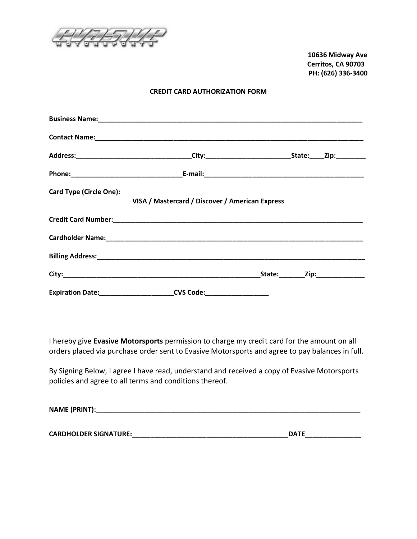

 10636 Midway Ave Cerritos, CA 90703 PH: (626) 336‐3400

### CREDIT CARD AUTHORIZATION FORM

| <b>Card Type (Circle One):</b> | VISA / Mastercard / Discover / American Express |  |
|--------------------------------|-------------------------------------------------|--|
|                                |                                                 |  |
|                                |                                                 |  |
|                                |                                                 |  |
|                                |                                                 |  |
|                                | <b>CVS Code: __________________</b>             |  |

I hereby give Evasive Motorsports permission to charge my credit card for the amount on all orders placed via purchase order sent to Evasive Motorsports and agree to pay balances in full.

By Signing Below, I agree I have read, understand and received a copy of Evasive Motorsports policies and agree to all terms and conditions thereof.

| <b>NAME (PRINT):</b> |  |  |  |
|----------------------|--|--|--|
|                      |  |  |  |

CARDHOLDER SIGNATURE:\_\_\_\_\_\_\_\_\_\_\_\_\_\_\_\_\_\_\_\_\_\_\_\_\_\_\_\_\_\_\_\_\_\_\_\_\_\_\_\_\_\_DATE\_\_\_\_\_\_\_\_\_\_\_\_\_\_\_